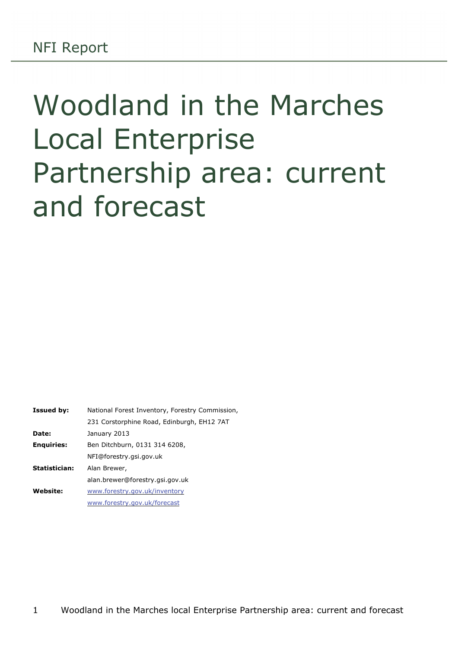# Woodland in the Marches Local Enterprise Partnership area: current and forecast

| <b>Issued by:</b> | National Forest Inventory, Forestry Commission, |  |  |  |  |  |
|-------------------|-------------------------------------------------|--|--|--|--|--|
|                   | 231 Corstorphine Road, Edinburgh, EH12 7AT      |  |  |  |  |  |
| Date:             | January 2013                                    |  |  |  |  |  |
| <b>Enquiries:</b> | Ben Ditchburn, 0131 314 6208,                   |  |  |  |  |  |
|                   | NFI@forestry.gsi.gov.uk                         |  |  |  |  |  |
| Statistician:     | Alan Brewer,                                    |  |  |  |  |  |
|                   | alan.brewer@forestry.gsi.gov.uk                 |  |  |  |  |  |
| <b>Website:</b>   | www.forestry.gov.uk/inventory                   |  |  |  |  |  |
|                   | www.forestry.gov.uk/forecast                    |  |  |  |  |  |
|                   |                                                 |  |  |  |  |  |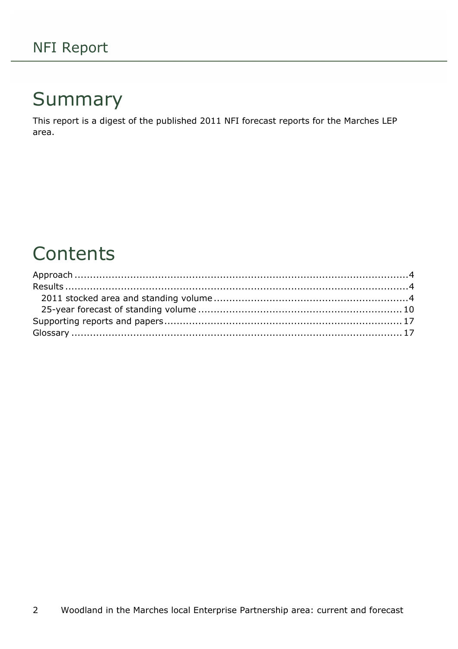## Summary

This report is a digest of the published 2011 NFI forecast reports for the Marches LEP area.

## **Contents**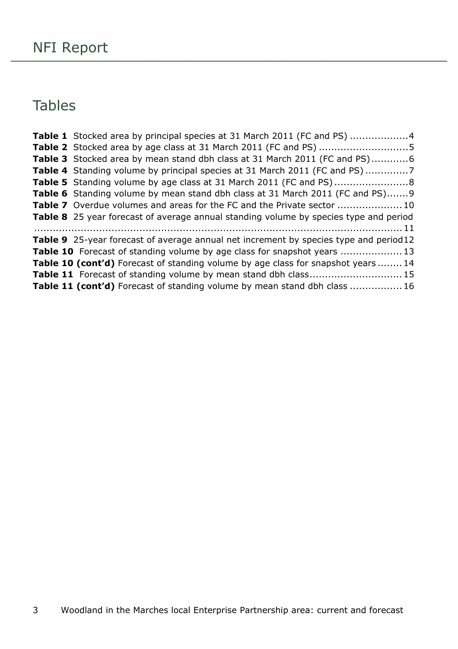### Tables

| <b>Table 1</b> Stocked area by principal species at 31 March 2011 (FC and PS) 4              |
|----------------------------------------------------------------------------------------------|
| Table 2 Stocked area by age class at 31 March 2011 (FC and PS) 5                             |
| <b>Table 3</b> Stocked area by mean stand dbh class at 31 March 2011 (FC and PS)6            |
|                                                                                              |
|                                                                                              |
| <b>Table 6</b> Standing volume by mean stand dbh class at 31 March 2011 (FC and PS)9         |
| <b>Table 7</b> Overdue volumes and areas for the FC and the Private sector  10               |
| <b>Table 8</b> 25 year forecast of average annual standing volume by species type and period |
|                                                                                              |
| <b>Table 9</b> 25-year forecast of average annual net increment by species type and period12 |
| <b>Table 10</b> Forecast of standing volume by age class for snapshot years 13               |
| <b>Table 10 (cont'd)</b> Forecast of standing volume by age class for snapshot years  14     |
| <b>Table 11</b> Forecast of standing volume by mean stand dbh class 15                       |
| Table 11 (cont'd) Forecast of standing volume by mean stand dbh class  16                    |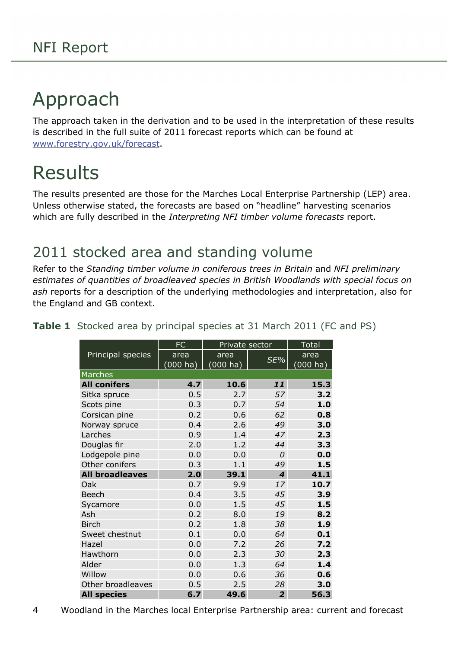## <span id="page-3-0"></span>Approach

The approach taken in the derivation and to be used in the interpretation of these results is described in the full suite of 2011 forecast reports which can be found at [www.forestry.gov.uk/forecast](http://www.forestry.gov.uk/forecast).

## <span id="page-3-1"></span>Results

The results presented are those for the Marches Local Enterprise Partnership (LEP) area. Unless otherwise stated, the forecasts are based on "headline" harvesting scenarios which are fully described in the *Interpreting NFI timber volume forecasts* report.

### <span id="page-3-2"></span>2011 stocked area and standing volume

Refer to the *Standing timber volume in coniferous trees in Britain* and *NFI preliminary estimates of quantities of broadleaved species in British Woodlands with special focus on ash* reports for a description of the underlying methodologies and interpretation, also for the England and GB context.

|                        | <b>FC</b>             | Private sector |                | <b>Total</b> |
|------------------------|-----------------------|----------------|----------------|--------------|
| Principal species      | area                  | area           | SE%            | area         |
|                        | $(000 h\overline{a})$ | $(000)$ ha)    |                | (000 ha)     |
| Marches                |                       |                |                |              |
| <b>All conifers</b>    | 4.7                   | 10.6           | 11             | 15.3         |
| Sitka spruce           | 0.5                   | 2.7            | 57             | 3.2          |
| Scots pine             | 0.3                   | 0.7            | 54             | 1.0          |
| Corsican pine          | 0.2                   | 0.6            | 62             | 0.8          |
| Norway spruce          | 0.4                   | 2.6            | 49             | 3.0          |
| Larches                | 0.9                   | 1.4            | 47             | 2.3          |
| Douglas fir            | 2.0                   | 1.2            | 44             | 3.3          |
| Lodgepole pine         | 0.0                   | 0.0            | 0              | 0.0          |
| Other conifers         | 0.3                   | 1.1            | 49             | 1.5          |
| <b>All broadleaves</b> | 2.0                   | 39.1           | 4              | 41.1         |
| Oak                    | 0.7                   | 9.9            | 17             | 10.7         |
| <b>Beech</b>           | 0.4                   | 3.5            | 45             | 3.9          |
| Sycamore               | 0.0                   | 1.5            | 45             | 1.5          |
| Ash                    | 0.2                   | 8.0            | 19             | 8.2          |
| <b>Birch</b>           | 0.2                   | 1.8            | 38             | 1.9          |
| Sweet chestnut         | 0.1                   | 0.0            | 64             | 0.1          |
| Hazel                  | 0.0                   | 7.2            | 26             | 7.2          |
| Hawthorn               | 0.0                   | 2.3            | 30             | 2.3          |
| Alder                  | 0.0                   | 1.3            | 64             | 1.4          |
| Willow                 | 0.0                   | 0.6            | 36             | 0.6          |
| Other broadleaves      | 0.5                   | 2.5            | 28             | 3.0          |
| <b>All species</b>     | 6.7                   | 49.6           | $\overline{2}$ | 56.3         |

<span id="page-3-3"></span>**Table 1** Stocked area by principal species at 31 March 2011 (FC and PS)

<sup>4</sup> Woodland in the Marches local Enterprise Partnership area: current and forecast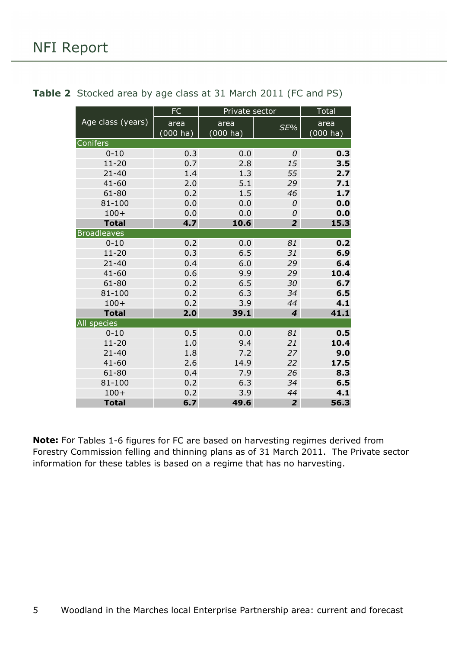|                    | FC                 | Private sector |                  | <b>Total</b>       |
|--------------------|--------------------|----------------|------------------|--------------------|
| Age class (years)  | area               | area           | SE%              | area               |
|                    | $(000 \text{ ha})$ | $(000)$ ha)    |                  | $(000 \text{ ha})$ |
| Conifers           |                    |                |                  |                    |
| $0 - 10$           | 0.3                | 0.0            | 0                | 0.3                |
| $11 - 20$          | 0.7                | 2.8            | 15               | 3.5                |
| $21 - 40$          | 1.4                | 1.3            | 55               | 2.7                |
| $41 - 60$          | 2.0                | 5.1            | 29               | 7.1                |
| 61-80              | 0.2                | 1.5            | 46               | 1.7                |
| 81-100             | 0.0                | 0.0            | 0                | 0.0                |
| $100+$             | 0.0                | 0.0            | 0                | 0.0                |
| <b>Total</b>       | 4.7                | 10.6           | $\overline{2}$   | 15.3               |
| <b>Broadleaves</b> |                    |                |                  |                    |
| $0 - 10$           | 0.2                | 0.0            | 81               | 0.2                |
| $11 - 20$          | 0.3                | 6.5            | 31               | 6.9                |
| $21 - 40$          | 0.4                | 6.0            | 29               | 6.4                |
| $41 - 60$          | 0.6                | 9.9            | 29               | 10.4               |
| 61-80              | 0.2                | 6.5            | 30               | 6.7                |
| 81-100             | 0.2                | 6.3            | 34               | 6.5                |
| $100+$             | 0.2                | 3.9            | 44               | 4.1                |
| <b>Total</b>       | 2.0                | 39.1           | $\boldsymbol{4}$ | 41.1               |
| <b>All species</b> |                    |                |                  |                    |
| $0 - 10$           | 0.5                | 0.0            | 81               | 0.5                |
| $11 - 20$          | 1.0                | 9.4            | 21               | 10.4               |
| $21 - 40$          | 1.8                | 7.2            | 27               | 9.0                |
| $41 - 60$          | 2.6                | 14.9           | 22               | 17.5               |
| 61-80              | 0.4                | 7.9            | 26               | 8.3                |
| 81-100             | 0.2                | 6.3            | 34               | 6.5                |
| $100+$             | 0.2                | 3.9            | 44               | 4.1                |
| <b>Total</b>       | 6.7                | 49.6           | $\overline{2}$   | 56.3               |

#### <span id="page-4-0"></span>**Table 2** Stocked area by age class at 31 March 2011 (FC and PS)

**Note:** For Tables 1-6 figures for FC are based on harvesting regimes derived from Forestry Commission felling and thinning plans as of 31 March 2011. The Private sector information for these tables is based on a regime that has no harvesting.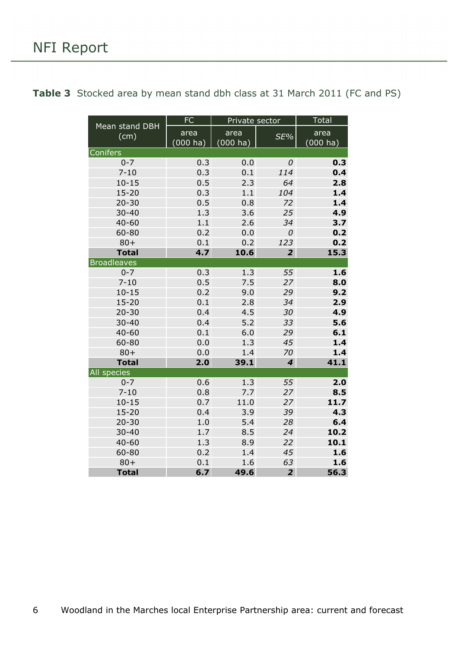| Mean stand DBH     | <b>FC</b>          | Private sector      |                         | <b>Total</b>               |
|--------------------|--------------------|---------------------|-------------------------|----------------------------|
| (cm)               | area<br>$(000$ ha) | area<br>$(000)$ ha) | SE%                     | area<br>$(000 \text{ ha})$ |
| <b>Conifers</b>    |                    |                     |                         |                            |
| $0 - 7$            | 0.3                | 0.0                 | 0                       | 0.3                        |
| $7 - 10$           | 0.3                | 0.1                 | 114                     | 0.4                        |
| $10 - 15$          | 0.5                | 2.3                 | 64                      | 2.8                        |
| $15 - 20$          | 0.3                | 1.1                 | 104                     | 1.4                        |
| $20 - 30$          | 0.5                | 0.8                 | 72                      | 1.4                        |
| $30 - 40$          | 1.3                | 3.6                 | 25                      | 4.9                        |
| $40 - 60$          | 1.1                | 2.6                 | 34                      | 3.7                        |
| 60-80              | 0.2                | 0.0                 | 0                       | 0.2                        |
| $80 +$             | 0.1                | 0.2                 | 123                     | 0.2                        |
| <b>Total</b>       | 4.7                | 10.6                | $\overline{2}$          | 15.3                       |
| <b>Broadleaves</b> |                    |                     |                         |                            |
| $0 - 7$            | 0.3                | 1.3                 | 55                      | 1.6                        |
| $7 - 10$           | 0.5                | 7.5                 | 27                      | 8.0                        |
| $10 - 15$          | 0.2                | 9.0                 | 29                      | 9.2                        |
| $15 - 20$          | 0.1                | 2.8                 | 34                      | 2.9                        |
| $20 - 30$          | 0.4                | 4.5                 | 30                      | 4.9                        |
| $30 - 40$          | 0.4                | 5.2                 | 33                      | 5.6                        |
| $40 - 60$          | 0.1                | 6.0                 | 29                      | 6.1                        |
| 60-80              | 0.0                | 1.3                 | 45                      | 1.4                        |
| $80 +$             | 0.0                | 1.4                 | 70                      | 1.4                        |
| <b>Total</b>       | 2.0                | 39.1                | $\overline{\mathbf{4}}$ | 41.1                       |
| All species        |                    |                     |                         |                            |
| $0 - 7$            | 0.6                | 1.3                 | 55                      | 2.0                        |
| $7 - 10$           | 0.8                | 7.7                 | 27                      | 8.5                        |
| $10 - 15$          | 0.7                | 11.0                | 27                      | 11.7                       |
| $15 - 20$          | 0.4                | 3.9                 | 39                      | 4.3                        |
| $20 - 30$          | 1.0                | 5.4                 | 28                      | 6.4                        |
| $30 - 40$          | 1.7                | 8.5                 | 24                      | 10.2                       |
| $40 - 60$          | 1.3                | 8.9                 | 22                      | 10.1                       |
| 60-80              | 0.2                | 1.4                 | 45                      | 1.6                        |
| $80 +$             | 0.1                | 1.6                 | 63                      | 1.6                        |
| <b>Total</b>       | 6.7                | 49.6                | $\overline{2}$          | 56.3                       |

<span id="page-5-0"></span>Table 3 Stocked area by mean stand dbh class at 31 March 2011 (FC and PS)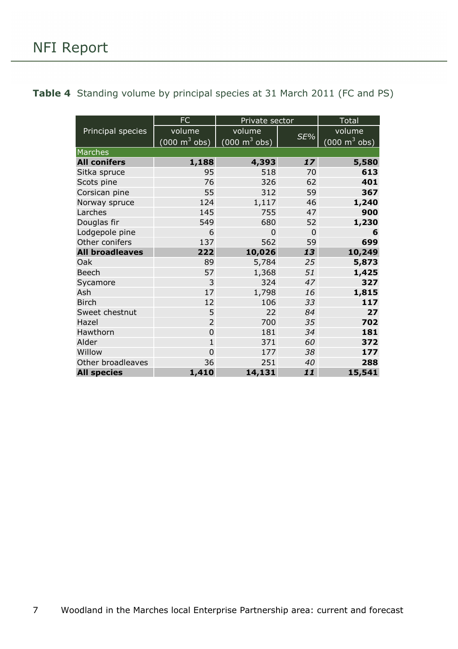<span id="page-6-0"></span>

|  | <b>Table 4</b> Standing volume by principal species at 31 March 2011 (FC and PS) |  |  |  |  |
|--|----------------------------------------------------------------------------------|--|--|--|--|
|--|----------------------------------------------------------------------------------|--|--|--|--|

|                        | FC                              | Private sector                             |                | <b>Total</b>                    |
|------------------------|---------------------------------|--------------------------------------------|----------------|---------------------------------|
| Principal species      | volume                          | volume                                     |                | volume                          |
|                        | $(000 \text{ m}^3 \text{ obs})$ | $\overline{(000 \text{ m}^3 \text{ obs})}$ | SE%            | $(000 \text{ m}^3 \text{ obs})$ |
| Marches                |                                 |                                            |                |                                 |
| <b>All conifers</b>    | 1,188                           | 4,393                                      | 17             | 5,580                           |
| Sitka spruce           | 95                              | 518                                        | 70             | 613                             |
| Scots pine             | 76                              | 326                                        | 62             | 401                             |
| Corsican pine          | 55                              | 312                                        | 59             | 367                             |
| Norway spruce          | 124                             | 1,117                                      | 46             | 1,240                           |
| Larches                | 145                             | 755                                        | 47             | 900                             |
| Douglas fir            | 549                             | 680                                        | 52             | 1,230                           |
| Lodgepole pine         | 6                               | $\overline{0}$                             | $\overline{0}$ | 6                               |
| Other conifers         | 137                             | 562                                        | 59             | 699                             |
| <b>All broadleaves</b> | 222                             | 10,026                                     | 13             | 10,249                          |
| Oak                    | 89                              | 5,784                                      | 25             | 5,873                           |
| <b>Beech</b>           | 57                              | 1,368                                      | 51             | 1,425                           |
| Sycamore               | 3                               | 324                                        | 47             | 327                             |
| Ash                    | 17                              | 1,798                                      | 16             | 1,815                           |
| <b>Birch</b>           | 12                              | 106                                        | 33             | 117                             |
| Sweet chestnut         | 5                               | 22                                         | 84             | 27                              |
| Hazel                  | $\overline{2}$                  | 700                                        | 35             | 702                             |
| Hawthorn               | $\overline{0}$                  | 181                                        | 34             | 181                             |
| Alder                  | $\mathbf{1}$                    | 371                                        | 60             | 372                             |
| Willow                 | $\overline{0}$                  | 177                                        | 38             | 177                             |
| Other broadleaves      | 36                              | 251                                        | 40             | 288                             |
| <b>All species</b>     | 1,410                           | 14,131                                     | 11             | 15,541                          |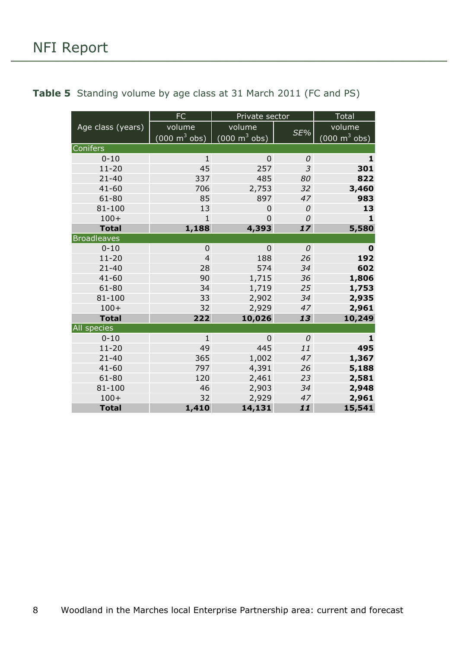|                    | <b>FC</b>                           | Private sector                  |     | Total                               |
|--------------------|-------------------------------------|---------------------------------|-----|-------------------------------------|
| Age class (years)  | volume                              | volume                          |     | volume                              |
|                    | $(000 \; \text{m}^3 \; \text{obs})$ | $(000 \text{ m}^3 \text{ obs})$ | SE% | $(000 \; \text{m}^3 \; \text{obs})$ |
| Conifers           |                                     |                                 |     |                                     |
| $0 - 10$           | $\mathbf{1}$                        | $\overline{0}$                  | 0   | 1                                   |
| $11 - 20$          | 45                                  | 257                             | 3   | 301                                 |
| $21 - 40$          | 337                                 | 485                             | 80  | 822                                 |
| $41 - 60$          | 706                                 | 2,753                           | 32  | 3,460                               |
| 61-80              | 85                                  | 897                             | 47  | 983                                 |
| 81-100             | 13                                  | $\mathbf 0$                     | 0   | 13                                  |
| $100+$             | $\mathbf{1}$                        | $\overline{0}$                  | 0   | $\mathbf{1}$                        |
| <b>Total</b>       | 1,188                               | 4,393                           | 17  | 5,580                               |
| <b>Broadleaves</b> |                                     |                                 |     |                                     |
| $0 - 10$           | $\mathbf 0$                         | $\overline{0}$                  | 0   | $\mathbf 0$                         |
| $11 - 20$          | $\overline{4}$                      | 188                             | 26  | 192                                 |
| $21 - 40$          | 28                                  | 574                             | 34  | 602                                 |
| $41 - 60$          | 90                                  | 1,715                           | 36  | 1,806                               |
| $61 - 80$          | 34                                  | 1,719                           | 25  | 1,753                               |
| 81-100             | 33                                  | 2,902                           | 34  | 2,935                               |
| $100+$             | 32                                  | 2,929                           | 47  | 2,961                               |
| <b>Total</b>       | 222                                 | 10,026                          | 13  | 10,249                              |
| All species        |                                     |                                 |     |                                     |
| $0 - 10$           | $\mathbf{1}$                        | $\overline{0}$                  | 0   | $\mathbf{1}$                        |
| $11 - 20$          | 49                                  | 445                             | 11  | 495                                 |
| $21 - 40$          | 365                                 | 1,002                           | 47  | 1,367                               |
| $41 - 60$          | 797                                 | 4,391                           | 26  | 5,188                               |
| 61-80              | 120                                 | 2,461                           | 23  | 2,581                               |
| 81-100             | 46                                  | 2,903                           | 34  | 2,948                               |
| $100+$             | 32                                  | 2,929                           | 47  | 2,961                               |
| <b>Total</b>       | 1,410                               | 14,131                          | 11  | 15,541                              |

### <span id="page-7-0"></span>**Table 5** Standing volume by age class at 31 March 2011 (FC and PS)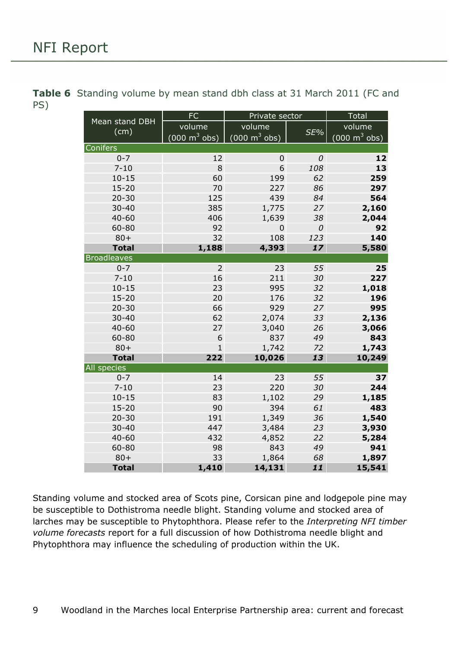|                        | FC                              | Private sector                  |     | Total                           |  |  |
|------------------------|---------------------------------|---------------------------------|-----|---------------------------------|--|--|
| Mean stand DBH<br>(cm) | volume                          | volume                          | SE% | volume                          |  |  |
|                        | $(000 \text{ m}^3 \text{ obs})$ | $(000 \text{ m}^3 \text{ obs})$ |     | $(000 \text{ m}^3 \text{ obs})$ |  |  |
| <b>Conifers</b>        |                                 |                                 |     |                                 |  |  |
| $0 - 7$                | 12                              | $\mathbf 0$                     | 0   | 12                              |  |  |
| $7 - 10$               | 8                               | 6                               | 108 | 13                              |  |  |
| $10 - 15$              | 60                              | 199                             | 62  | 259                             |  |  |
| $15 - 20$              | 70                              | 227                             | 86  | 297                             |  |  |
| $20 - 30$              | 125                             | 439                             | 84  | 564                             |  |  |
| $30 - 40$              | 385                             | 1,775                           | 27  | 2,160                           |  |  |
| $40 - 60$              | 406                             | 1,639                           | 38  | 2,044                           |  |  |
| 60-80                  | 92                              | $\mathbf 0$                     | 0   | 92                              |  |  |
| $80 +$                 | 32                              | 108                             | 123 | 140                             |  |  |
| <b>Total</b>           | 1,188                           | 4,393                           | 17  | 5,580                           |  |  |
| <b>Broadleaves</b>     |                                 |                                 |     |                                 |  |  |
| $0 - 7$                | $\overline{2}$                  | 23                              | 55  | 25                              |  |  |
| $7 - 10$               | 16                              | 211                             | 30  | 227                             |  |  |
| $10 - 15$              | 23                              | 995                             | 32  | 1,018                           |  |  |
| $15 - 20$              | 20                              | 176                             | 32  | 196                             |  |  |
| $20 - 30$              | 66                              | 929                             | 27  | 995                             |  |  |
| $30 - 40$              | 62                              | 2,074                           | 33  | 2,136                           |  |  |
| $40 - 60$              | 27                              | 3,040                           | 26  | 3,066                           |  |  |
| 60-80                  | 6                               | 837                             | 49  | 843                             |  |  |
| $80 +$                 | $\mathbf{1}$                    | 1,742                           | 72  | 1,743                           |  |  |
| <b>Total</b>           | 222                             | 10,026                          | 13  | 10,249                          |  |  |
| <b>All species</b>     |                                 |                                 |     |                                 |  |  |
| $0 - 7$                | 14                              | 23                              | 55  | 37                              |  |  |
| $7 - 10$               | 23                              | 220                             | 30  | 244                             |  |  |
| $10 - 15$              | 83                              | 1,102                           | 29  | 1,185                           |  |  |
| $15 - 20$              | 90                              | 394                             | 61  | 483                             |  |  |
| $20 - 30$              | 191                             | 1,349                           | 36  | 1,540                           |  |  |
| $30 - 40$              | 447                             | 3,484                           | 23  | 3,930                           |  |  |
| $40 - 60$              | 432                             | 4,852                           | 22  | 5,284                           |  |  |
| 60-80                  | 98                              | 843                             | 49  | 941                             |  |  |
| $80 +$                 | 33                              | 1,864                           | 68  | 1,897                           |  |  |
| <b>Total</b>           | 1,410                           | 14,131                          | 11  | 15,541                          |  |  |

<span id="page-8-0"></span>**Table 6** Standing volume by mean stand dbh class at 31 March 2011 (FC and PS)

Standing volume and stocked area of Scots pine, Corsican pine and lodgepole pine may be susceptible to Dothistroma needle blight. Standing volume and stocked area of larches may be susceptible to Phytophthora. Please refer to the *Interpreting NFI timber volume forecasts* report for a full discussion of how Dothistroma needle blight and Phytophthora may influence the scheduling of production within the UK.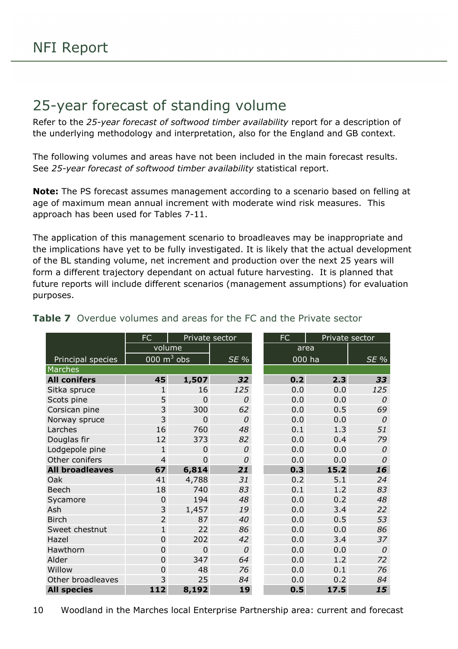### <span id="page-9-0"></span>25-year forecast of standing volume

Refer to the *25-year forecast of softwood timber availability* report for a description of the underlying methodology and interpretation, also for the England and GB context.

The following volumes and areas have not been included in the main forecast results. See *25-year forecast of softwood timber availability* statistical report.

**Note:** The PS forecast assumes management according to a scenario based on felling at age of maximum mean annual increment with moderate wind risk measures. This approach has been used for Tables 7-11.

The application of this management scenario to broadleaves may be inappropriate and the implications have yet to be fully investigated. It is likely that the actual development of the BL standing volume, net increment and production over the next 25 years will form a different trajectory dependant on actual future harvesting. It is planned that future reports will include different scenarios (management assumptions) for evaluation purposes.

|                        | <b>FC</b>      | Private sector |        | <b>FC</b> |        | Private sector |
|------------------------|----------------|----------------|--------|-----------|--------|----------------|
|                        | volume<br>area |                |        |           |        |                |
| Principal species      | 000 $m^3$ obs  |                | $SE\%$ |           | 000 ha | SE %           |
| Marches                |                |                |        |           |        |                |
| <b>All conifers</b>    | 45             | 1,507          | 32     | 0.2       | 2.3    | 33             |
| Sitka spruce           | $\mathbf{1}$   | 16             | 125    | 0.0       | 0.0    | 125            |
| Scots pine             | 5              | 0              | 0      | 0.0       | 0.0    | 0              |
| Corsican pine          | 3              | 300            | 62     | 0.0       | 0.5    | 69             |
| Norway spruce          | 3              | $\mathbf 0$    | 0      | 0.0       | 0.0    | 0              |
| Larches                | 16             | 760            | 48     | 0.1       | 1.3    | 51             |
| Douglas fir            | 12             | 373            | 82     | 0.0       | 0.4    | 79             |
| Lodgepole pine         | $\mathbf{1}$   | $\overline{0}$ | 0      | 0.0       | 0.0    | 0              |
| Other conifers         | $\overline{4}$ | $\overline{0}$ | 0      | 0.0       | 0.0    | 0              |
| <b>All broadleaves</b> | 67             | 6,814          | 21     | 0.3       | 15.2   | 16             |
| Oak                    | 41             | 4,788          | 31     | 0.2       | 5.1    | 24             |
| <b>Beech</b>           | 18             | 740            | 83     | 0.1       | 1.2    | 83             |
| Sycamore               | $\mathbf 0$    | 194            | 48     | 0.0       | 0.2    | 48             |
| Ash                    | 3              | 1,457          | 19     | 0.0       | 3.4    | 22             |
| <b>Birch</b>           | $\overline{2}$ | 87             | 40     | 0.0       | 0.5    | 53             |
| Sweet chestnut         | $\mathbf{1}$   | 22             | 86     | 0.0       | 0.0    | 86             |
| Hazel                  | 0              | 202            | 42     | 0.0       | 3.4    | 37             |
| Hawthorn               | 0              | $\overline{0}$ | 0      | 0.0       | 0.0    | $\mathcal{O}$  |
| Alder                  | 0              | 347            | 64     | 0.0       | 1.2    | 72             |
| Willow                 | 0              | 48             | 76     | 0.0       | 0.1    | 76             |
| Other broadleaves      | 3              | 25             | 84     | 0.0       | 0.2    | 84             |
| <b>All species</b>     | 112            | 8,192          | 19     | 0.5       | 17.5   | 15             |

#### <span id="page-9-1"></span>**Table 7** Overdue volumes and areas for the FC and the Private sector

10 Woodland in the Marches local Enterprise Partnership area: current and forecast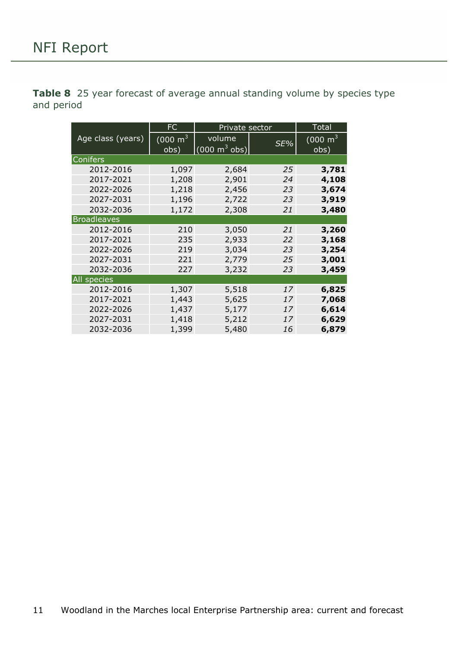<span id="page-10-0"></span>**Table 8** 25 year forecast of average annual standing volume by species type and period

|                    | FC<br>Private sector        |                                           | <b>Total</b> |                               |
|--------------------|-----------------------------|-------------------------------------------|--------------|-------------------------------|
| Age class (years)  | $(000 \text{ m}^3)$<br>obs) | volume<br>$(000 \text{ m}^3 \text{ obs})$ | SE%          | $(000 \; \text{m}^3)$<br>obs) |
| Conifers           |                             |                                           |              |                               |
| 2012-2016          | 1,097                       | 2,684                                     | 25           | 3,781                         |
| 2017-2021          | 1,208                       | 2,901                                     | 24           | 4,108                         |
| 2022-2026          | 1,218                       | 2,456                                     | 23           | 3,674                         |
| 2027-2031          | 1,196                       | 2,722                                     | 23           | 3,919                         |
| 2032-2036          | 1,172                       | 2,308                                     | 21           | 3,480                         |
| <b>Broadleaves</b> |                             |                                           |              |                               |
| 2012-2016          | 210                         | 3,050                                     | 21           | 3,260                         |
| 2017-2021          | 235                         | 2,933                                     | 22           | 3,168                         |
| 2022-2026          | 219                         | 3,034                                     | 23           | 3,254                         |
| 2027-2031          | 221                         | 2,779                                     | 25           | 3,001                         |
| 2032-2036          | 227                         | 3,232                                     | 23           | 3,459                         |
| All species        |                             |                                           |              |                               |
| 2012-2016          | 1,307                       | 5,518                                     | 17           | 6,825                         |
| 2017-2021          | 1,443                       | 5,625                                     | 17           | 7,068                         |
| 2022-2026          | 1,437                       | 5,177                                     | 17           | 6,614                         |
| 2027-2031          | 1,418                       | 5,212                                     | 17           | 6,629                         |
| 2032-2036          | 1,399                       | 5,480                                     | 16           | 6,879                         |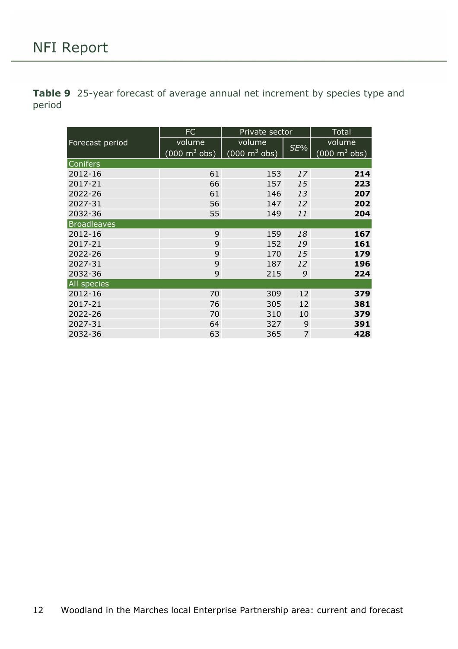<span id="page-11-0"></span>**Table 9** 25-year forecast of average annual net increment by species type and period

|                    | <b>FC</b>                                                          | Private sector | Total |                                 |
|--------------------|--------------------------------------------------------------------|----------------|-------|---------------------------------|
| Forecast period    | volume                                                             | volume         |       | volume                          |
|                    | $(000 \text{ m}^3 \text{ obs})$<br>$(000 \text{ m}^3 \text{ obs})$ |                | SE%   | $(000 \text{ m}^3 \text{ obs})$ |
| <b>Conifers</b>    |                                                                    |                |       |                                 |
| 2012-16            | 61                                                                 | 153            | 17    | 214                             |
| 2017-21            | 66                                                                 | 157            | 15    | 223                             |
| 2022-26            | 61                                                                 | 146            | 13    | 207                             |
| 2027-31            | 56                                                                 | 147            | 12    | 202                             |
| 2032-36            | 55                                                                 | 149            | 11    | 204                             |
| <b>Broadleaves</b> |                                                                    |                |       |                                 |
| 2012-16            | 9                                                                  | 159            | 18    | 167                             |
| 2017-21            | 9                                                                  | 152            | 19    | 161                             |
| 2022-26            | 9                                                                  | 170            | 15    | 179                             |
| 2027-31            | 9                                                                  | 187            | 12    | 196                             |
| 2032-36            | 9                                                                  | 215            | 9     | 224                             |
| All species        |                                                                    |                |       |                                 |
| 2012-16            | 70                                                                 | 309            | 12    | 379                             |
| 2017-21            | 76                                                                 | 305            | 12    | 381                             |
| 2022-26            | 70                                                                 | 310            | 10    | 379                             |
| 2027-31            | 64                                                                 | 327            | 9     | 391                             |
| 2032-36            | 63                                                                 | 365            | 7     | 428                             |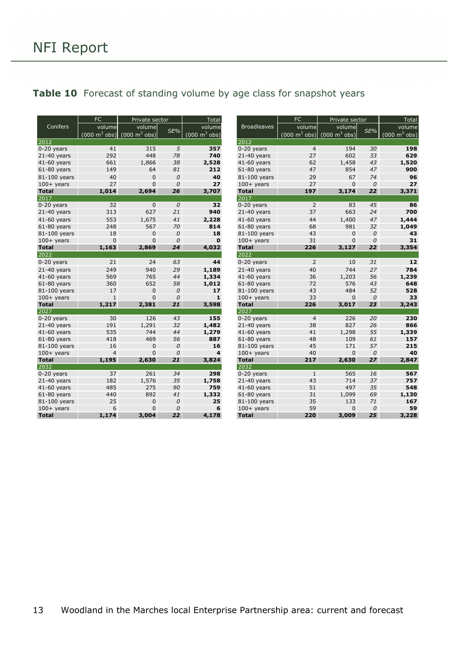### <span id="page-12-0"></span>Table 10 Forecast of standing volume by age class for snapshot years

| <b>FC</b>     |                | Private sector                                                  |               | Total                           |                    | FC             | Private sector                                                  |               | Total                               |
|---------------|----------------|-----------------------------------------------------------------|---------------|---------------------------------|--------------------|----------------|-----------------------------------------------------------------|---------------|-------------------------------------|
| Conifers      | volume         | volume                                                          |               | volume                          | <b>Broadleaves</b> | volume         | volume                                                          |               | volume                              |
|               |                | $(000 \text{ m}^3 \text{ obs})$ $(000 \text{ m}^3 \text{ obs})$ | SE%           | $(000 \text{ m}^3 \text{ obs})$ |                    |                | $(000 \text{ m}^3 \text{ obs})$ $(000 \text{ m}^3 \text{ obs})$ | $SE\%$        | $(000 \; \text{m}^3 \; \text{obs})$ |
| 2012          |                |                                                                 |               |                                 | 2012               |                |                                                                 |               |                                     |
| $0-20$ years  | 41             | 315                                                             | 5             | 357                             | $0-20$ years       | $\overline{4}$ | 194                                                             | 30            | 198                                 |
| $21-40$ years | 292            | 448                                                             | 78            | 740                             | $21-40$ years      | 27             | 602                                                             | 33            | 629                                 |
| $41-60$ years | 661            | 1,866                                                           | 38            | 2,528                           | $41-60$ years      | 62             | 1,458                                                           | 43            | 1,520                               |
| $61-80$ years | 149            | 64                                                              | 81            | 212                             | $61-80$ years      | 47             | 854                                                             | 47            | 900                                 |
| 81-100 years  | 40             | $\mathbf 0$                                                     | $\mathcal{O}$ | 40                              | 81-100 years       | 29             | 67                                                              | 74            | 96                                  |
| $100+$ years  | 27             | 0                                                               | $\mathcal{O}$ | 27                              | $100+$ years       | 27             | $\mathbf{0}$                                                    | $\mathcal{O}$ | 27                                  |
| <b>Total</b>  | 1,014          | 2,694                                                           | 26            | 3,707                           | <b>Total</b>       | 197            | 3,174                                                           | 22            | 3,371                               |
| 2017          |                |                                                                 |               |                                 | 2017               |                |                                                                 |               |                                     |
| $0-20$ years  | 32             | 0                                                               | $\mathcal{O}$ | 32                              | $0-20$ years       | 2              | 83                                                              | 45            | 86                                  |
| $21-40$ years | 313            | 627                                                             | 21            | 940                             | $21-40$ years      | 37             | 663                                                             | 24            | 700                                 |
| 41-60 vears   | 553            | 1,675                                                           | 41            | 2,228                           | 41-60 vears        | 44             | 1,400                                                           | 47            | 1,444                               |
| $61-80$ years | 248            | 567                                                             | 70            | 814                             | $61-80$ years      | 68             | 981                                                             | 32            | 1,049                               |
| 81-100 years  | 18             | 0                                                               | $\mathcal{O}$ | 18                              | 81-100 years       | 43             | $\mathbf 0$                                                     | 0             | 43                                  |
| $100+$ years  | $\mathbf 0$    | 0                                                               | $\theta$      | $\mathbf{0}$                    | $100+$ years       | 31             | $\Omega$                                                        | $\mathcal{O}$ | 31                                  |
| <b>Total</b>  | 1,163          | 2,869                                                           | 24            | 4,032                           | <b>Total</b>       | 226            | 3,127                                                           | 22            | 3,354                               |
| 2022          |                |                                                                 |               |                                 | 2022               |                |                                                                 |               |                                     |
| $0-20$ years  | 21             | 24                                                              | 63            | 44                              | $0-20$ years       | $\overline{2}$ | 10                                                              | 31            | 12                                  |
| $21-40$ years | 249            | 940                                                             | 29            | 1,189                           | $21-40$ years      | 40             | 744                                                             | 27            | 784                                 |
| $41-60$ years | 569            | 765                                                             | 44            | 1,334                           | $41-60$ years      | 36             | 1,203                                                           | 56            | 1,239                               |
| $61-80$ years | 360            | 652                                                             | 58            | 1,012                           | $61-80$ years      | 72             | 576                                                             | 43            | 648                                 |
| 81-100 years  | 17             | 0                                                               | $\mathcal{O}$ | 17                              | 81-100 years       | 43             | 484                                                             | 52            | 528                                 |
| $100+$ years  | $\mathbf{1}$   | 0                                                               | $\mathcal{O}$ | $\mathbf{1}$                    | $100+$ years       | 33             | $\mathbf{0}$                                                    | 0             | 33                                  |
| <b>Total</b>  | 1,217          | 2,381                                                           | 21            | 3,598                           | <b>Total</b>       | 226            | 3,017                                                           | 23            | 3,243                               |
| 2027          |                |                                                                 |               |                                 | 2027               |                |                                                                 |               |                                     |
| $0-20$ years  | 30             | 126                                                             | 43            | 155                             | $0-20$ years       | $\overline{4}$ | 226                                                             | 20            | 230                                 |
| $21-40$ years | 191            | 1,291                                                           | 32            | 1,482                           | $21-40$ years      | 38             | 827                                                             | 26            | 866                                 |
| $41-60$ years | 535            | 744                                                             | 44            | 1,279                           | 41-60 years        | 41             | 1,298                                                           | 55            | 1,339                               |
| $61-80$ years | 418            | 469                                                             | 56            | 887                             | $61-80$ years      | 48             | 109                                                             | 61            | 157                                 |
| 81-100 years  | 16             | $\mathbf 0$                                                     | $\mathcal{O}$ | 16                              | 81-100 years       | 45             | 171                                                             | 57            | 215                                 |
| $100+$ years  | $\overline{4}$ | 0                                                               | $\mathcal{O}$ | $\overline{\mathbf{4}}$         | $100+$ years       | 40             | $\mathbf 0$                                                     | $\mathcal{O}$ | 40                                  |
| <b>Total</b>  | 1,195          | 2,630                                                           | 21            | 3,824                           | <b>Total</b>       | 217            | 2,630                                                           | 27            | 2,847                               |
| 2032          |                |                                                                 |               |                                 | 2032               |                |                                                                 |               |                                     |
| $0-20$ years  | 37             | 261                                                             | 34            | 298                             | $0-20$ vears       | $\mathbf{1}$   | 565                                                             | 16            | 567                                 |
| $21-40$ years | 182            | 1,576                                                           | 35            | 1,758                           | $21-40$ years      | 43             | 714                                                             | 37            | 757                                 |
| 41-60 years   | 485            | 275                                                             | 90            | 759                             | 41-60 years        | 51             | 497                                                             | 35            | 548                                 |
| $61-80$ years | 440            | 892                                                             | 41            | 1,332                           | $61-80$ years      | 31             | 1,099                                                           | 69            | 1,130                               |
| 81-100 years  | 25             | $\overline{0}$                                                  | $\mathcal{O}$ | 25                              | 81-100 years       | 35             | 133                                                             | 71            | 167                                 |
| $100+$ years  | 6              | 0                                                               | 0             | 6                               | $100+$ years       | 59             | $\mathbf{0}$                                                    | 0             | 59                                  |
| <b>Total</b>  | 1,174          | 3,004                                                           | 22            | 4,178                           | <b>Total</b>       | 220            | 3,009                                                           | 25            | 3,228                               |

| FC             | Private sector                  |               | Total                           |                    | <b>FC</b>                       | Private sector                  |                  | <b>Total</b>                    |
|----------------|---------------------------------|---------------|---------------------------------|--------------------|---------------------------------|---------------------------------|------------------|---------------------------------|
| volume         | volume                          | SE%           | volume                          | <b>Broadleaves</b> | volume                          | volume                          | SE%              | volume                          |
| $m^3$ obs)     | $(000 \text{ m}^3 \text{ obs})$ |               | $(000 \text{ m}^3 \text{ obs})$ |                    | $(000 \text{ m}^3 \text{ obs})$ | $(000 \text{ m}^3 \text{ obs})$ |                  | $(000 \text{ m}^3 \text{ obs})$ |
|                |                                 |               |                                 | 2012               |                                 |                                 |                  |                                 |
| 41             | 315                             | 5             | 357                             | 0-20 years         | 4                               | 194                             | 30               | 198                             |
| 292            | 448                             | 78            | 740                             | $21-40$ years      | 27                              | 602                             | 33               | 629                             |
| 661            | 1,866                           | 38            | 2,528                           | 41-60 years        | 62                              | 1,458                           | 43               | 1,520                           |
| 149            | 64                              | 81            | 212                             | $61-80$ years      | 47                              | 854                             | 47               | 900                             |
| 40             | $\mathbf 0$                     | $\mathcal O$  | 40                              | 81-100 years       | 29                              | 67                              | 74               | 96                              |
| 27             | $\mathbf{0}$                    | $\mathcal{O}$ | 27                              | $100+$ years       | 27                              | $\mathbf{0}$                    | $\mathcal{O}$    | 27                              |
| 1,014          | 2,694                           | 26            | 3,707                           | <b>Total</b>       | 197                             | 3,174                           | 22               | 3,371                           |
|                |                                 |               |                                 | 2017               |                                 |                                 |                  |                                 |
| 32             | $\mathbf 0$                     | 0             | 32                              | $0-20$ years       | $\overline{2}$                  | 83                              | 45               | 86                              |
| 313            | 627                             | 21            | 940                             | $21-40$ years      | 37                              | 663                             | 24               | 700                             |
| 553            | 1,675                           | 41            | 2,228                           | 41-60 years        | 44                              | 1,400                           | 47               | 1,444                           |
| 248            | 567                             | 70            | 814                             | $61-80$ years      | 68                              | 981                             | 32               | 1,049                           |
| 18             | $\bf 0$                         | $\cal O$      | 18                              | 81-100 years       | 43                              | $\mathbf 0$                     | $\boldsymbol{0}$ | 43                              |
| $\mathbf{0}$   | $\mathbf 0$                     | $\mathcal{O}$ | $\mathbf 0$                     | $100+$ years       | 31                              | 0                               | $\mathcal{O}$    | 31                              |
| 1,163          | 2,869                           | 24            | 4,032                           | <b>Total</b>       | 226                             | 3,127                           | 22               | 3,354                           |
|                |                                 |               |                                 | 2022               |                                 |                                 |                  |                                 |
| 21             | 24                              | 63            | 44                              | 0-20 years         | $\overline{2}$                  | 10                              | 31               | 12                              |
| 249            | 940                             | 29            | 1,189                           | $21-40$ years      | 40                              | 744                             | 27               | 784                             |
| 569            | 765                             | 44            | 1,334                           | $41-60$ years      | 36                              | 1,203                           | 56               | 1,239                           |
| 360            | 652                             | 58            | 1,012                           | $61-80$ years      | 72                              | 576                             | 43               | 648                             |
| 17             | $\bf 0$                         | $\cal O$      | 17                              | 81-100 years       | 43                              | 484                             | 52               | 528                             |
| $\mathbf{1}$   | $\mathbf 0$                     | $\mathcal{O}$ | $\mathbf{1}$                    | $100+$ years       | 33                              | $\mathbf{0}$                    | $\mathcal{O}$    | 33                              |
| 1,217          | 2,381                           | 21            | 3,598                           | <b>Total</b>       | 226                             | 3,017                           | 23               | 3,243                           |
|                |                                 |               |                                 | 2027               |                                 |                                 |                  |                                 |
| 30             | 126                             | 43            | 155                             | $0-20$ years       | $\overline{4}$                  | 226                             | 20               | 230                             |
| 191            | 1,291                           | 32            | 1,482                           | $21-40$ years      | 38                              | 827                             | 26               | 866                             |
| 535            | 744                             | 44            | 1,279                           | $41-60$ years      | 41                              | 1,298                           | 55               | 1,339                           |
| 418            | 469                             | 56            | 887                             | $61-80$ years      | 48                              | 109                             | 61               | 157                             |
| 16             | $\mathbf 0$                     | $\mathcal{O}$ | 16                              | 81-100 years       | 45                              | 171                             | 57               | 215                             |
| $\overline{4}$ | $\mathbf 0$                     | $\mathcal{O}$ | 4                               | $100+$ years       | 40                              | $\mathbf 0$                     | $\mathcal{O}$    | 40                              |
| 1,195          | 2,630                           | 21            | 3,824                           | <b>Total</b>       | 217                             | 2,630                           | 27               | 2,847                           |
|                |                                 |               |                                 | 2032               |                                 |                                 |                  |                                 |
| 37             | 261                             | 34            | 298                             | $0-20$ years       | $\mathbf{1}$                    | 565                             | 16               | 567                             |
| 182            | 1,576                           | 35            | 1,758                           | $21-40$ years      | 43                              | 714                             | 37               | 757                             |
| 485            | 275                             | 90            | 759                             | 41-60 years        | 51                              | 497                             | 35               | 548                             |
| 440            | 892                             | 41            | 1,332                           | $61-80$ years      | 31                              | 1,099                           | 69               | 1,130                           |
| 25             | $\mathbf 0$                     | 0             | 25                              | 81-100 years       | 35                              | 133                             | 71               | 167                             |
| 6              | $\mathbf 0$<br>3,004            | 0<br>22       | 6                               | $100+$ years       | 59<br>220                       | 0                               | 0<br>25          | 59                              |
| 1,174          |                                 |               | 4,178                           | <b>Total</b>       |                                 | 3,009                           |                  | 3,228                           |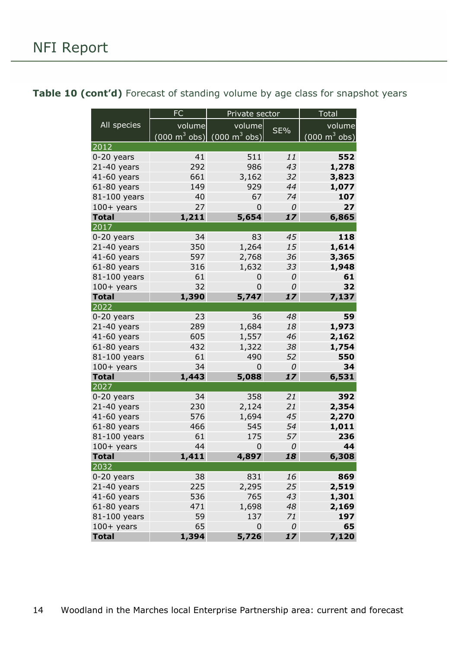<span id="page-13-0"></span>

|  |  | Table 10 (cont'd) Forecast of standing volume by age class for snapshot years |  |
|--|--|-------------------------------------------------------------------------------|--|
|--|--|-------------------------------------------------------------------------------|--|

|                              | <b>FC</b><br>Private sector |                                                          |         |                                            |  |
|------------------------------|-----------------------------|----------------------------------------------------------|---------|--------------------------------------------|--|
| All species                  | volume                      | volume                                                   |         | volume                                     |  |
|                              |                             | $(000 \text{ m}^3 \text{ obs})$ (000 m <sup>3</sup> obs) | SE%     | $\overline{(000 \text{ m}^3 \text{ obs})}$ |  |
| 2012                         |                             |                                                          |         |                                            |  |
| 0-20 years                   | 41                          | 511                                                      | 11      | 552                                        |  |
| $21-40$ years                | 292                         | 986                                                      | 43      | 1,278                                      |  |
| 41-60 years                  | 661                         | 3,162                                                    | 32      | 3,823                                      |  |
| $61-80$ years                | 149                         | 929                                                      | 44      | 1,077                                      |  |
| 81-100 years                 | 40                          | 67                                                       | 74      | 107                                        |  |
| $100+$ years                 | 27                          | 0                                                        | 0       | 27                                         |  |
| <b>Total</b>                 | 1,211                       | 5,654                                                    | 17      | 6,865                                      |  |
| 2017                         |                             |                                                          |         |                                            |  |
| $0-20$ years                 | 34                          | 83                                                       | 45      | 118                                        |  |
| $21-40$ years                | 350                         | 1,264                                                    | 15      | 1,614                                      |  |
| 41-60 years                  | 597                         | 2,768                                                    | 36      | 3,365                                      |  |
| $61-80$ years                | 316                         | 1,632                                                    | 33      | 1,948                                      |  |
| 81-100 years                 | 61                          | 0                                                        | 0       | 61                                         |  |
| $100+$ years                 | 32                          | 0                                                        | 0       | 32                                         |  |
| <b>Total</b>                 | 1,390                       | 5,747                                                    | 17      | 7,137                                      |  |
| 2022                         |                             |                                                          |         |                                            |  |
| $0-20$ years                 | 23                          | 36                                                       | 48      | 59                                         |  |
| $21-40$ years                | 289                         | 1,684                                                    | 18      | 1,973                                      |  |
| 41-60 years                  | 605                         | 1,557                                                    | 46      | 2,162                                      |  |
| $61-80$ years                | 432                         | 1,322                                                    | 38      | 1,754                                      |  |
| 81-100 years                 | 61<br>34                    | 490<br>$\overline{0}$                                    | 52      | 550<br>34                                  |  |
| $100+$ years<br><b>Total</b> | 1,443                       | 5,088                                                    | 0<br>17 | 6,531                                      |  |
| 2027                         |                             |                                                          |         |                                            |  |
| $0-20$ years                 | 34                          | 358                                                      | 21      | 392                                        |  |
| $21-40$ years                | 230                         | 2,124                                                    | 21      | 2,354                                      |  |
| 41-60 years                  | 576                         | 1,694                                                    | 45      | 2,270                                      |  |
| $61-80$ years                | 466                         | 545                                                      | 54      | 1,011                                      |  |
| 81-100 years                 | 61                          | 175                                                      | 57      | 236                                        |  |
| $100+$ years                 | 44                          | $\mathbf 0$                                              | 0       | 44                                         |  |
| <b>Total</b>                 | 1,411                       | 4,897                                                    | 18      | 6,308                                      |  |
| 2032                         |                             |                                                          |         |                                            |  |
| $0-20$ years                 | 38                          | 831                                                      | 16      | 869                                        |  |
| $21-40$ years                | 225                         | 2,295                                                    | 25      | 2,519                                      |  |
| 41-60 years                  | 536                         | 765                                                      | 43      | 1,301                                      |  |
| $61-80$ years                | 471                         | 1,698                                                    | 48      | 2,169                                      |  |
| 81-100 years                 | 59                          | 137                                                      | 71      | 197                                        |  |
| $100+$ years                 | 65                          | 0                                                        | 0       | 65                                         |  |
| <b>Total</b>                 | 1,394                       | 5,726                                                    | 17      | 7,120                                      |  |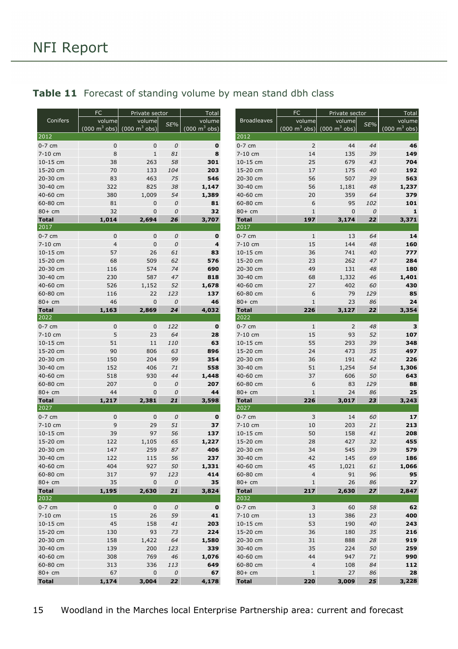|                      | FC                              | Private sector                  |              | <b>Total</b>                    |                      | <b>FC</b>            | Private sector                                                  |          | Total            |
|----------------------|---------------------------------|---------------------------------|--------------|---------------------------------|----------------------|----------------------|-----------------------------------------------------------------|----------|------------------|
| Conifers             | volume                          | volume                          | SE%          | volume                          | <b>Broadleaves</b>   | volume               | volume                                                          | SE%      | volume           |
|                      | $(000 \text{ m}^3 \text{ obs})$ | $(000 \text{ m}^3 \text{ obs})$ |              | $(000 \text{ m}^3 \text{ obs})$ |                      |                      | $(000 \text{ m}^3 \text{ obs})$ $(000 \text{ m}^3 \text{ obs})$ |          | (000 m $^3$ obs) |
| 2012                 |                                 |                                 |              |                                 | 2012                 |                      |                                                                 |          |                  |
| $0-7$ cm<br>7-10 cm  | $\pmb{0}$<br>8                  | $\pmb{0}$<br>$1\,$              | 0<br>81      | $\mathbf 0$<br>8                | $0-7$ cm<br>7-10 cm  | $\mathsf{2}$<br>14   | 44<br>135                                                       | 44<br>39 | 46<br>149        |
| 10-15 cm             | 38                              | 263                             | 58           | 301                             | 10-15 cm             | 25                   | 679                                                             | 43       | 704              |
| 15-20 cm             | 70                              | 133                             | 104          | 203                             | 15-20 cm             | 17                   | 175                                                             | 40       | 192              |
| 20-30 cm             | 83                              | 463                             | 75           | 546                             | 20-30 cm             | 56                   | 507                                                             | 39       | 563              |
| 30-40 cm             | 322                             | 825                             | 38           | 1,147                           | 30-40 cm             | 56                   | 1,181                                                           | 48       | 1,237            |
| 40-60 cm             | 380                             | 1,009                           | 54           | 1,389                           | 40-60 cm             | 20                   | 359                                                             | 64       | 379              |
| 60-80 cm             | 81                              | $\mathbf 0$                     | $\mathcal O$ | 81                              | 60-80 cm             | 6                    | 95                                                              | 102      | 101              |
| 80+ cm               | 32                              | $\mathbf 0$                     | 0            | 32                              | $80+cm$              | $\mathbf{1}$         | $\pmb{0}$                                                       | 0        | $\mathbf{1}$     |
| <b>Total</b>         | 1,014                           | 2,694                           | 26           | 3,707                           | <b>Total</b>         | 197                  | 3,174                                                           | 22       | 3,371            |
| 2017                 |                                 |                                 |              |                                 | 2017                 |                      |                                                                 |          |                  |
| $0-7$ cm             | 0                               | $\mathbf 0$                     | 0            | 0                               | $0-7$ cm             | $1\,$                | 13                                                              | 64       | 14               |
| 7-10 cm              | $\overline{4}$                  | $\mathbf 0$                     | 0            | 4                               | 7-10 cm              | 15                   | 144                                                             | 48       | 160              |
| 10-15 cm             | 57                              | 26                              | 61           | 83                              | 10-15 cm             | 36                   | 741                                                             | 40       | 777              |
| 15-20 cm             | 68                              | 509                             | 62           | 576                             | 15-20 cm             | 23                   | 262                                                             | 47       | 284              |
| 20-30 cm             | 116                             | 574                             | 74           | 690                             | 20-30 cm             | 49                   | 131                                                             | 48       | 180              |
| 30-40 cm             | 230                             | 587                             | 47           | 818                             | 30-40 cm             | 68                   | 1,332                                                           | 46       | 1,401            |
| 40-60 cm             | 526                             | 1,152                           | 52           | 1,678                           | 40-60 cm             | 27                   | 402                                                             | 60       | 430              |
| 60-80 cm             | 116                             | 22                              | 123          | 137                             | 60-80 cm             | 6                    | 79                                                              | 129      | 85               |
| $80+$ cm             | 46                              | $\mathbf 0$                     | 0            | 46                              | $80+cm$              | $1\,$                | 23                                                              | 86       | 24               |
| <b>Total</b><br>2022 | 1,163                           | 2,869                           | 24           | 4,032                           | <b>Total</b><br>2022 | 226                  | 3,127                                                           | 22       | 3,354            |
| $0-7$ cm             |                                 |                                 | 122          | $\mathbf 0$                     | $0-7$ cm             |                      | $\overline{2}$                                                  | 48       | 3                |
| 7-10 cm              | $\mathsf 0$<br>5                | $\mathbf 0$<br>23               | 64           | 28                              | 7-10 cm              | $1\,$<br>15          | 93                                                              | 52       | 107              |
| 10-15 cm             | 51                              | 11                              | 110          | 63                              | 10-15 cm             | 55                   | 293                                                             | 39       | 348              |
| 15-20 cm             | 90                              | 806                             | 63           | 896                             | 15-20 cm             | 24                   | 473                                                             | 35       | 497              |
| 20-30 cm             | 150                             | 204                             | 99           | 354                             | 20-30 cm             | 36                   | 191                                                             | 42       | 226              |
| 30-40 cm             | 152                             | 406                             | 71           | 558                             | 30-40 cm             | 51                   | 1,254                                                           | 54       | 1,306            |
| 40-60 cm             | 518                             | 930                             | 44           | 1,448                           | 40-60 cm             | 37                   | 606                                                             | 50       | 643              |
| 60-80 cm             | 207                             | $\mathbf 0$                     | 0            | 207                             | 60-80 cm             | 6                    | 83                                                              | 129      | 88               |
| 80+ cm               | 44                              | 0                               | 0            | 44                              | $80+cm$              | $\mathbf 1$          | 24                                                              | 86       | 25               |
| <b>Total</b>         | 1,217                           | 2,381                           | 21           | 3,598                           | <b>Total</b>         | 226                  | 3,017                                                           | 23       | 3,243            |
| 2027                 |                                 |                                 |              |                                 | 2027                 |                      |                                                                 |          |                  |
| 0-7 cm               | $\mathbf 0$                     | $\mathbf 0$                     | 0            | $\mathbf 0$                     | $0-7$ cm             | 3                    | 14                                                              | 60       | 17               |
| 7-10 cm              | 9                               | 29                              | 51           | 37                              | 7-10 cm              | 10                   | 203                                                             | 21       | 213              |
| 10-15 cm             | 39                              | 97                              | 56           | 137                             | 10-15 cm             | 50                   | 158                                                             | 41       | 208              |
| 15-20 cm             | 122                             | 1,105                           | 65           | 1,227                           | 15-20 cm             | 28                   | 427                                                             | 32       | 455              |
| 20-30 cm             | 147                             | 259                             | 87           | 406                             | 20-30 cm             | 34                   | 545                                                             | 39       | 579              |
| 30-40 cm<br>40-60 cm | 122<br>404                      | 115<br>927                      | 56<br>50     | 237                             | 30-40 cm             | 42                   | 145                                                             | 69       | 186<br>1,066     |
| 60-80 cm             | 317                             | 97                              | 123          | 1,331<br>414                    | 40-60 cm<br>60-80 cm | 45<br>$\overline{4}$ | 1,021<br>91                                                     | 61<br>96 | 95               |
| $80+cm$              | 35                              | $\mathbf 0$                     | 0            | 35                              | $80+cm$              | $1\,$                | 26                                                              | 86       | 27               |
| <b>Total</b>         | 1,195                           | 2,630                           | 21           | 3,824                           | <b>Total</b>         | 217                  | 2,630                                                           | 27       | 2,847            |
| 2032                 |                                 |                                 |              |                                 | 2032                 |                      |                                                                 |          |                  |
| $0-7$ cm             | $\mathsf{O}$                    | $\mathsf 0$                     | $\cal O$     | $\mathbf 0$                     | $0-7$ cm             | $\overline{3}$       | 60                                                              | 58       | 62               |
| 7-10 cm              | 15                              | 26                              | 59           | 41                              | 7-10 cm              | 13                   | 386                                                             | 23       | 400              |
| 10-15 cm             | 45                              | 158                             | 41           | 203                             | 10-15 cm             | 53                   | 190                                                             | 40       | 243              |
| 15-20 cm             | 130                             | 93                              | 73           | 224                             | 15-20 cm             | 36                   | 180                                                             | 35       | 216              |
| 20-30 cm             | 158                             | 1,422                           | 64           | 1,580                           | 20-30 cm             | 31                   | 888                                                             | 28       | 919              |
| 30-40 cm             | 139                             | 200                             | 123          | 339                             | 30-40 cm             | 35                   | 224                                                             | 50       | 259              |
| 40-60 cm             | 308                             | 769                             | 46           | 1,076                           | 40-60 cm             | 44                   | 947                                                             | 71       | 990              |
| 60-80 cm             | 313                             | 336                             | 113          | 649                             | 60-80 cm             | $\overline{4}$       | 108                                                             | 84       | 112              |
| $80+cm$              | 67                              | $\mathbf 0$                     | $\cal O$     | 67                              | $80+$ cm             | $\mathbf{1}$         | 27                                                              | 86       | 28               |
| <b>Total</b>         | 1,174                           | 3,004                           | 22           | 4,178                           | <b>Total</b>         | 220                  | 3,009                                                           | 25       | 3,228            |

| Conifers        | volume                          | volume                          | SE% | volume                          | <b>Broadleaves</b> | volume                                                   | volume       | SE% | volume                          |
|-----------------|---------------------------------|---------------------------------|-----|---------------------------------|--------------------|----------------------------------------------------------|--------------|-----|---------------------------------|
|                 | $(000 \text{ m}^3 \text{ obs})$ | $(000 \text{ m}^3 \text{ obs})$ |     | $(000 \text{ m}^3 \text{ obs})$ |                    | $(000 \text{ m}^3 \text{ obs})$ (000 m <sup>3</sup> obs) |              |     | $(000 \text{ m}^3 \text{ obs})$ |
| 2012            |                                 |                                 |     |                                 | 2012               |                                                          |              |     |                                 |
| 0-7 cm          | 0                               | $\mathbf 0$                     | 0   | 0                               | $0-7$ cm           | $\overline{2}$                                           | 44           | 44  | 46                              |
| 7-10 cm         | 8                               | $\mathbf{1}$                    | 81  | 8                               | 7-10 cm            | 14                                                       | 135          | 39  | 149                             |
| 10-15 cm        | 38                              | 263                             | 58  | 301                             | 10-15 cm           | 25                                                       | 679          | 43  | 704                             |
| 15-20 cm        | 70                              | 133                             | 104 | 203                             | 15-20 cm           | 17                                                       | 175          | 40  | 192                             |
| 20-30 cm        | 83                              | 463                             | 75  | 546                             | 20-30 cm           | 56                                                       | 507          | 39  | 563                             |
| 30-40 cm        | 322                             | 825                             | 38  | 1,147                           | 30-40 cm           | 56                                                       | 1,181        | 48  | 1,237                           |
| 40-60 cm        | 380                             | 1,009                           | 54  | 1,389                           | 40-60 cm           | 20                                                       | 359          | 64  | 379                             |
| 60-80 cm        | 81                              | $\mathbf 0$                     | 0   | 81                              | 60-80 cm           | 6                                                        | 95           | 102 | 101                             |
| 80+ cm          | 32                              | $\mathbf{0}$                    | 0   | 32                              | $80+cm$            | 1                                                        | $\mathbf{0}$ | 0   | $\mathbf{1}$                    |
| <b>Total</b>    | 1,014                           | 2,694                           | 26  | 3,707                           | <b>Total</b>       | 197                                                      | 3,174        | 22  | 3,371                           |
| 2017            |                                 |                                 |     |                                 | 2017               |                                                          |              |     |                                 |
| $0-7$ cm        | 0                               | $\mathbf 0$                     | 0   | 0                               | $0-7$ cm           | $\,1\,$                                                  | 13           | 64  | 14                              |
| 7-10 cm         | $\overline{4}$                  | $\mathbf{0}$                    | 0   | 4                               | 7-10 cm            | 15                                                       | 144          | 48  | 160                             |
| 10-15 cm        | 57                              | 26                              | 61  | 83                              | 10-15 cm           | 36                                                       | 741          | 40  | 777                             |
| 15-20 cm        | 68                              | 509                             | 62  | 576                             | 15-20 cm           | 23                                                       | 262          | 47  | 284                             |
| 20-30 cm        | 116                             | 574                             | 74  | 690                             | 20-30 cm           | 49                                                       | 131          | 48  | 180                             |
| 30-40 cm        | 230                             | 587                             | 47  | 818                             | 30-40 cm           | 68                                                       | 1,332        | 46  | 1,401                           |
| 40-60 cm        | 526                             | 1,152                           | 52  | 1,678                           | 40-60 cm           | 27                                                       | 402          | 60  | 430                             |
| 60-80 cm        | 116                             | 22                              | 123 | 137                             | 60-80 cm           | 6                                                        | 79           | 129 | 85                              |
| 80+ cm          | 46                              | $\mathbf 0$                     | 0   | 46                              | $80+cm$            | $1\,$                                                    | 23           | 86  | 24                              |
| <b>Total</b>    | 1,163                           | 2,869                           | 24  | 4,032                           | <b>Total</b>       | 226                                                      | 3,127        | 22  | 3,354                           |
| 2022            |                                 |                                 |     |                                 | 2022               |                                                          |              |     |                                 |
| $0-7$ cm        | $\mathbf 0$                     | $\mathbf 0$                     | 122 | $\mathbf 0$                     | $0-7$ cm           | $\mathbf{1}$                                             | 2            | 48  | з                               |
| 7-10 cm         | 5                               | 23                              | 64  | 28                              | 7-10 cm            | 15                                                       | 93           | 52  | 107                             |
| 10-15 cm        | 51                              | 11                              | 110 | 63                              | 10-15 cm           | 55                                                       | 293          | 39  | 348                             |
| 15-20 cm        | 90                              | 806                             | 63  | 896                             | 15-20 cm           | 24                                                       | 473          | 35  | 497                             |
| 20-30 cm        | 150                             | 204                             | 99  | 354                             | 20-30 cm           | 36                                                       | 191          | 42  | 226                             |
| 30-40 cm        | 152                             | 406                             | 71  | 558                             | 30-40 cm           | 51                                                       | 1,254        | 54  | 1,306                           |
| 40-60 cm        | 518                             | 930                             | 44  | 1,448                           | 40-60 cm           | 37                                                       | 606          | 50  | 643                             |
| 60-80 cm        | 207                             | $\mathbf 0$                     | 0   | 207                             | 60-80 cm           | 6                                                        | 83           | 129 | 88                              |
| 80+ cm          | 44                              | 0                               | 0   | 44                              | $80+cm$            | $1\,$                                                    | 24           | 86  | 25                              |
| Total           | 1,217                           | 2,381                           | 21  | 3,598                           | <b>Total</b>       | 226                                                      | 3,017        | 23  | 3,243                           |
| 2027            |                                 |                                 |     |                                 | 2027               |                                                          |              |     |                                 |
| $0-7$ cm        | $\pmb{0}$                       | $\mathbf 0$                     | 0   | 0                               | $0-7$ cm           | 3                                                        | 14           | 60  | 17                              |
| 7-10 cm         | 9                               | 29                              | 51  | 37                              | 7-10 cm            | 10                                                       | 203          | 21  | 213                             |
| 10-15 cm        | 39                              | 97                              | 56  | 137                             | 10-15 cm           | 50                                                       | 158          | 41  | 208                             |
| 15-20 cm        | 122                             | 1,105                           | 65  | 1,227                           | 15-20 cm           | 28                                                       | 427          | 32  | 455                             |
| 20-30 cm        | 147                             | 259                             | 87  | 406                             | 20-30 cm           | 34                                                       | 545          | 39  | 579                             |
| 30-40 cm        | 122                             | 115                             | 56  | 237                             | 30-40 cm           | 42                                                       | 145          | 69  | 186                             |
| 40-60 cm        | 404                             | 927                             | 50  | 1,331                           | 40-60 cm           | 45                                                       | 1,021        | 61  | 1,066                           |
| 60-80 cm        | 317                             | 97                              | 123 | 414                             | 60-80 cm           | $\overline{4}$                                           | 91           | 96  | 95                              |
| 80+ cm          | 35                              | $\mathbf 0$                     | 0   | 35                              | $80+cm$            | $1\,$                                                    | 26           | 86  | 27                              |
| <b>Total</b>    | 1,195                           | 2,630                           | 21  | 3,824                           | <b>Total</b>       | 217                                                      | 2,630        | 27  | 2,847                           |
| 2032            |                                 |                                 |     |                                 | 2032               |                                                          |              |     |                                 |
| 0-7 cm          | 0                               | $\mathbf 0$                     | 0   | 0                               | $0-7$ cm           | 3                                                        | 60           | 58  | 62                              |
| 7-10 cm         | 15                              | 26                              | 59  | 41                              | 7-10 cm            | 13                                                       | 386          | 23  | 400                             |
| 10-15 cm        | 45                              | 158                             | 41  | 203                             | 10-15 cm           | 53                                                       | 190          | 40  | 243                             |
| 15-20 cm        | 130                             | 93                              | 73  | 224                             | 15-20 cm           | 36                                                       | 180          | 35  | 216                             |
| 20-30 cm        | 158                             | 1,422                           | 64  | 1,580                           | 20-30 cm           | 31                                                       | 888          | 28  | 919                             |
| 30-40 cm        | 139                             | 200                             | 123 | 339                             | 30-40 cm           | 35                                                       | 224          | 50  | 259                             |
| 40-60 cm        | 308                             | 769                             | 46  | 1,076                           | 40-60 cm           | 44                                                       | 947          | 71  | 990                             |
| 60-80 cm        | 313                             | 336                             | 113 | 649                             | 60-80 cm           | $\overline{4}$                                           | 108          | 84  | 112                             |
| 00 <sub>1</sub> | $\epsilon$ <sub>7</sub>         |                                 |     |                                 |                    |                                                          | 77           | oc  | $\overline{0}$                  |

#### <span id="page-14-0"></span>Table 11 Forecast of standing volume by mean stand dbh class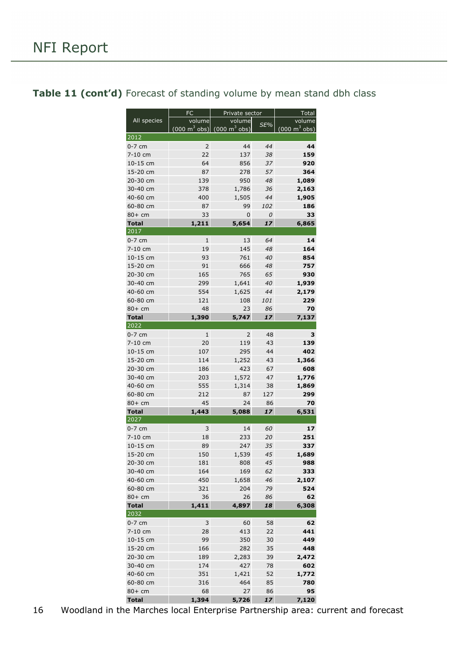|              | <b>FC</b>                       | Private sector                      |               | Total                           |
|--------------|---------------------------------|-------------------------------------|---------------|---------------------------------|
| All species  | volume                          | volume                              |               | volume                          |
|              | $(000 \text{ m}^3 \text{ obs})$ | $(000 \; \text{m}^3 \; \text{obs})$ | SE%           | $(000 \text{ m}^3 \text{ obs})$ |
| 2012         |                                 |                                     |               |                                 |
| $0-7$ cm     | $\overline{2}$                  | 44                                  | 44            | 44                              |
| 7-10 cm      | 22                              | 137                                 | 38            | 159                             |
| 10-15 cm     | 64                              | 856                                 | 37            | 920                             |
| 15-20 cm     | 87                              | 278                                 | 57            | 364                             |
| 20-30 cm     | 139                             | 950                                 | 48            | 1,089                           |
| 30-40 cm     | 378                             | 1,786                               | 36            | 2,163                           |
| 40-60 cm     | 400                             | 1,505                               | 44            | 1,905                           |
| 60-80 cm     | 87                              | 99                                  | 102           | 186                             |
| $80+cm$      | 33                              | 0                                   | $\mathcal{O}$ | 33                              |
| <b>Total</b> | 1,211                           | 5,654                               | 17            | 6,865                           |
| 2017         |                                 |                                     |               |                                 |
| $0-7$ cm     | $\mathbf{1}$                    | 13                                  | 64            | 14                              |
| 7-10 cm      | 19                              | 145                                 | 48            | 164                             |
| 10-15 cm     | 93                              | 761                                 | 40            | 854                             |
| 15-20 cm     | 91                              | 666                                 | 48            | 757                             |
| 20-30 cm     | 165                             | 765                                 | 65            | 930                             |
| 30-40 cm     | 299                             | 1,641                               | 40            | 1,939                           |
|              | 554                             | 1,625                               |               |                                 |
| 40-60 cm     |                                 |                                     | 44            | 2,179                           |
| 60-80 cm     | 121                             | 108                                 | 101           | 229                             |
| $80+cm$      | 48                              | 23                                  | 86            | 70                              |
| <b>Total</b> | 1,390                           | 5,747                               | 17            | 7,137                           |
| 2022         |                                 |                                     |               |                                 |
| $0-7$ cm     | 1                               | 2                                   | 48            | 3                               |
| 7-10 cm      | 20                              | 119                                 | 43            | 139                             |
| 10-15 cm     | 107                             | 295                                 | 44            | 402                             |
| 15-20 cm     | 114                             | 1,252                               | 43            | 1,366                           |
| 20-30 cm     | 186                             | 423                                 | 67            | 608                             |
| 30-40 cm     | 203                             | 1,572                               | 47            | 1,776                           |
| 40-60 cm     | 555                             | 1,314                               | 38            | 1,869                           |
| 60-80 cm     | 212                             | 87                                  | 127           | 299                             |
| $80+cm$      | 45                              | 24                                  | 86            | 70                              |
| <b>Total</b> | 1,443                           | 5,088                               | 17            | 6,531                           |
| 2027         |                                 |                                     |               |                                 |
| $0-7$ cm     | 3                               | 14                                  | 60            | 17                              |
| 7-10 cm      | 18                              | 233                                 | 20            | 251                             |
| 10-15 cm     | 89                              | 247                                 | 35            | 337                             |
| 15-20 cm     | 150                             | 1,539                               | 45            | 1,689                           |
| 20-30 cm     | 181                             | 808                                 | 45            | 988                             |
| 30-40 cm     | 164                             | 169                                 | 62            | 333                             |
| 40-60 cm     | 450                             | 1,658                               | 46            | 2,107                           |
| 60-80 cm     | 321                             | 204                                 | 79            | 524                             |
| 80+ cm       | 36                              | 26                                  | 86            | 62                              |
| <b>Total</b> | 1,411                           | 4,897                               | 18            | 6,308                           |
| 2032         |                                 |                                     |               |                                 |
| $0-7$ cm     | 3                               | 60                                  | 58            | 62                              |
| 7-10 cm      | 28                              | 413                                 | 22            | 441                             |
| 10-15 cm     | 99                              | 350                                 | 30            | 449                             |
| 15-20 cm     | 166                             | 282                                 | 35            | 448                             |
| 20-30 cm     | 189                             | 2,283                               | 39            | 2,472                           |
| 30-40 cm     | 174                             | 427                                 | 78            | 602                             |
| 40-60 cm     | 351                             | 1,421                               | 52            | 1,772                           |
| 60-80 cm     | 316                             | 464                                 | 85            | 780                             |
| $80+cm$      | 68                              | 27                                  | 86            | 95                              |

#### <span id="page-15-0"></span>Table 11 (cont'd) Forecast of standing volume by mean stand dbh class

**Total 1,394 5,726** *17* **7,120**  $16$  Woodland in the Marches local Enterprise Partnership area: current and forecast